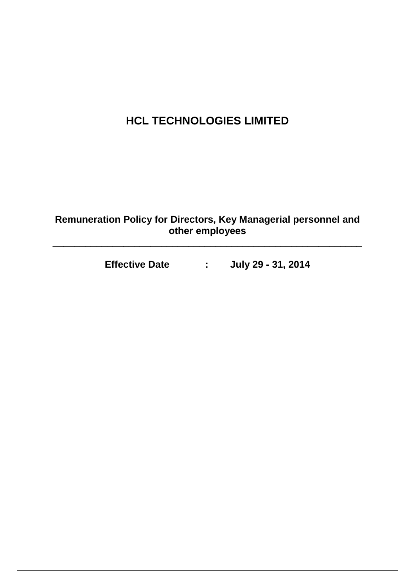# **HCL TECHNOLOGIES LIMITED**

**Remuneration Policy for Directors, Key Managerial personnel and other employees**

\_\_\_\_\_\_\_\_\_\_\_\_\_\_\_\_\_\_\_\_\_\_\_\_\_\_\_\_\_\_\_\_\_\_\_\_\_\_\_\_\_\_\_\_\_\_\_\_\_\_\_\_\_\_\_\_\_

**Effective Date : July 29 - 31, 2014**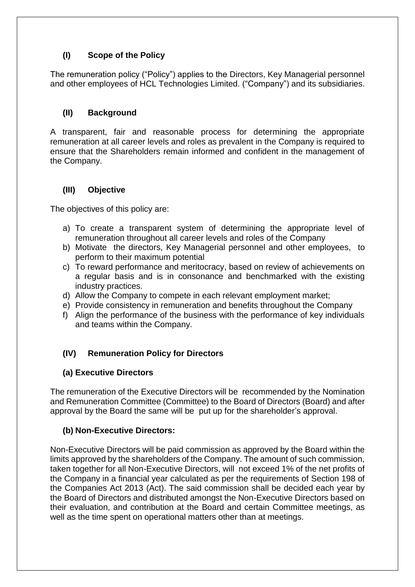### **(I) Scope of the Policy**

The remuneration policy ("Policy") applies to the Directors, Key Managerial personnel and other employees of HCL Technologies Limited. ("Company") and its subsidiaries.

#### **(II) Background**

A transparent, fair and reasonable process for determining the appropriate remuneration at all career levels and roles as prevalent in the Company is required to ensure that the Shareholders remain informed and confident in the management of the Company.

#### **(III) Objective**

The objectives of this policy are:

- a) To create a transparent system of determining the appropriate level of remuneration throughout all career levels and roles of the Company
- b) Motivate the directors, Key Managerial personnel and other employees, to perform to their maximum potential
- c) To reward performance and meritocracy, based on review of achievements on a regular basis and is in consonance and benchmarked with the existing industry practices.
- d) Allow the Company to compete in each relevant employment market;
- e) Provide consistency in remuneration and benefits throughout the Company
- f) Align the performance of the business with the performance of key individuals and teams within the Company.

#### **(IV) Remuneration Policy for Directors**

#### **(a) Executive Directors**

The remuneration of the Executive Directors will be recommended by the Nomination and Remuneration Committee (Committee) to the Board of Directors (Board) and after approval by the Board the same will be put up for the shareholder's approval.

#### **(b) Non-Executive Directors:**

Non-Executive Directors will be paid commission as approved by the Board within the limits approved by the shareholders of the Company. The amount of such commission, taken together for all Non-Executive Directors, will not exceed 1% of the net profits of the Company in a financial year calculated as per the requirements of Section 198 of the Companies Act 2013 (Act). The said commission shall be decided each year by the Board of Directors and distributed amongst the Non-Executive Directors based on their evaluation, and contribution at the Board and certain Committee meetings, as well as the time spent on operational matters other than at meetings.